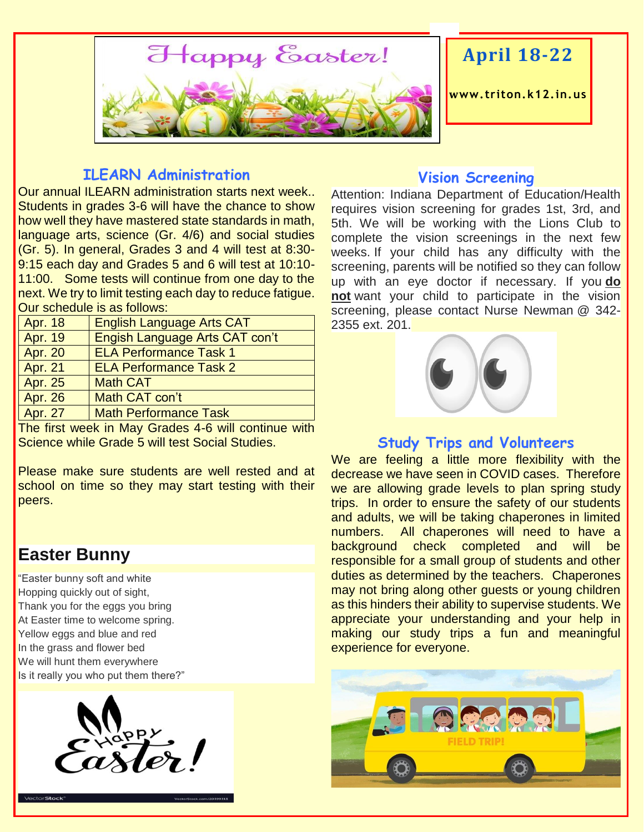

**April 18-22**

**www. triton.k12.in.us**

### **ILEARN Administration**

Our annual ILEARN administration starts next week.. Students in grades 3-6 will have the chance to show how well they have mastered state standards in math, language arts, science (Gr. 4/6) and social studies (Gr. 5). In general, Grades 3 and 4 will test at 8:30- 9:15 each day and Grades 5 and 6 will test at 10:10- 11:00. Some tests will continue from one day to the next. We try to limit testing each day to reduce fatigue. Our schedule is as follows:

| <b>Apr. 18</b>    | <b>English Language Arts CAT</b> |
|-------------------|----------------------------------|
| Apr. 19           | Engish Language Arts CAT con't   |
| <b>Apr. 20</b>    | <b>ELA Performance Task 1</b>    |
| <b>Apr. 21</b>    | <b>ELA Performance Task 2</b>    |
| Apr. 25           | <b>Math CAT</b>                  |
| <b>Apr. 26</b>    | Math CAT con't                   |
| $\sqrt{4pr}$ . 27 | <b>Math Performance Task</b>     |

The first week in May Grades 4-6 will continue with Science while Grade 5 will test Social Studies.

Please make sure students are well rested and at school on time so they may start testing with their peers.

## **Easter Bunny**

֦

"Easter bunny soft and white Hopping quickly out of sight, Thank you for the eggs you bring At Easter time to welcome spring. Yellow eggs and blue and red In the grass and flower bed We will hunt them everywhere Is it really you who put them there?"



#### **Vision Screening**

Attention: Indiana Department of Education/Health requires vision screening for grades 1st, 3rd, and 5th. We will be working with the Lions Club to complete the vision screenings in the next few weeks. If your child has any difficulty with the screening, parents will be notified so they can follow up with an eye doctor if necessary. If you **do**  not want your child to participate in the vision screening, please contact Nurse Newman @ 342-2355 ext. 201.



## **Study Trips and Volunteers**

We are feeling a little more flexibility with the decrease we have seen in COVID cases. Therefore we are allowing grade levels to plan spring study trips. In order to ensure the safety of our students and adults, we will be taking chaperones in limited numbers. All chaperones will need to have a background check completed and will be responsible for a small group of students and other duties as determined by the teachers. Chaperones may not bring along other guests or young children as this hinders their ability to supervise students. We appreciate your understanding and your help in making our study trips a fun and meaningful experience for everyone.